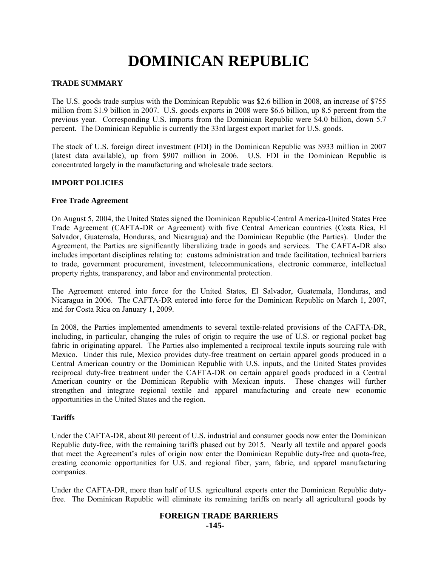# **DOMINICAN REPUBLIC**

## **TRADE SUMMARY**

The U.S. goods trade surplus with the Dominican Republic was \$2.6 billion in 2008, an increase of \$755 million from \$1.9 billion in 2007. U.S. goods exports in 2008 were \$6.6 billion, up 8.5 percent from the previous year. Corresponding U.S. imports from the Dominican Republic were \$4.0 billion, down 5.7 percent. The Dominican Republic is currently the 33rd largest export market for U.S. goods.

The stock of U.S. foreign direct investment (FDI) in the Dominican Republic was \$933 million in 2007 (latest data available), up from \$907 million in 2006. U.S. FDI in the Dominican Republic is concentrated largely in the manufacturing and wholesale trade sectors.

## **IMPORT POLICIES**

## **Free Trade Agreement**

On August 5, 2004, the United States signed the Dominican Republic-Central America-United States Free Trade Agreement (CAFTA-DR or Agreement) with five Central American countries (Costa Rica, El Salvador, Guatemala, Honduras, and Nicaragua) and the Dominican Republic (the Parties). Under the Agreement, the Parties are significantly liberalizing trade in goods and services. The CAFTA-DR also includes important disciplines relating to: customs administration and trade facilitation, technical barriers to trade, government procurement, investment, telecommunications, electronic commerce, intellectual property rights, transparency, and labor and environmental protection.

The Agreement entered into force for the United States, El Salvador, Guatemala, Honduras, and Nicaragua in 2006. The CAFTA-DR entered into force for the Dominican Republic on March 1, 2007, and for Costa Rica on January 1, 2009.

In 2008, the Parties implemented amendments to several textile-related provisions of the CAFTA-DR, including, in particular, changing the rules of origin to require the use of U.S. or regional pocket bag fabric in originating apparel. The Parties also implemented a reciprocal textile inputs sourcing rule with Mexico. Under this rule, Mexico provides duty-free treatment on certain apparel goods produced in a Central American country or the Dominican Republic with U.S. inputs, and the United States provides reciprocal duty-free treatment under the CAFTA-DR on certain apparel goods produced in a Central American country or the Dominican Republic with Mexican inputs. These changes will further strengthen and integrate regional textile and apparel manufacturing and create new economic opportunities in the United States and the region.

## **Tariffs**

Under the CAFTA-DR, about 80 percent of U.S. industrial and consumer goods now enter the Dominican Republic duty-free, with the remaining tariffs phased out by 2015. Nearly all textile and apparel goods that meet the Agreement's rules of origin now enter the Dominican Republic duty-free and quota-free, creating economic opportunities for U.S. and regional fiber, yarn, fabric, and apparel manufacturing companies.

Under the CAFTA-DR, more than half of U.S. agricultural exports enter the Dominican Republic dutyfree. The Dominican Republic will eliminate its remaining tariffs on nearly all agricultural goods by

### **FOREIGN TRADE BARRIERS -145-**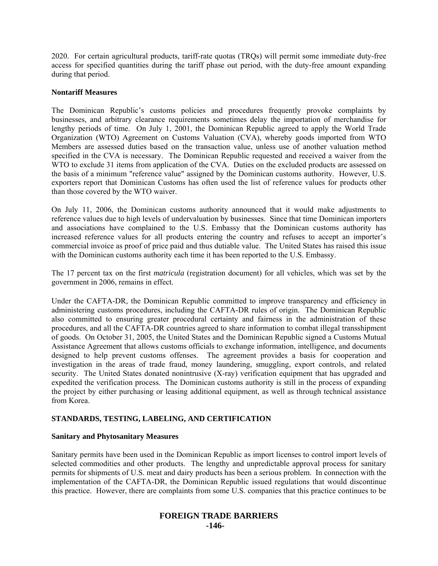2020. For certain agricultural products, tariff-rate quotas (TRQs) will permit some immediate duty-free access for specified quantities during the tariff phase out period, with the duty-free amount expanding during that period.

## **Nontariff Measures**

The Dominican Republic's customs policies and procedures frequently provoke complaints by businesses, and arbitrary clearance requirements sometimes delay the importation of merchandise for lengthy periods of time. On July 1, 2001, the Dominican Republic agreed to apply the World Trade Organization (WTO) Agreement on Customs Valuation (CVA), whereby goods imported from WTO Members are assessed duties based on the transaction value, unless use of another valuation method specified in the CVA is necessary. The Dominican Republic requested and received a waiver from the WTO to exclude 31 items from application of the CVA. Duties on the excluded products are assessed on the basis of a minimum "reference value" assigned by the Dominican customs authority. However, U.S. exporters report that Dominican Customs has often used the list of reference values for products other than those covered by the WTO waiver.

On July 11, 2006, the Dominican customs authority announced that it would make adjustments to reference values due to high levels of undervaluation by businesses. Since that time Dominican importers and associations have complained to the U.S. Embassy that the Dominican customs authority has increased reference values for all products entering the country and refuses to accept an importer's commercial invoice as proof of price paid and thus dutiable value. The United States has raised this issue with the Dominican customs authority each time it has been reported to the U.S. Embassy.

The 17 percent tax on the first *matricula* (registration document) for all vehicles, which was set by the government in 2006, remains in effect.

Under the CAFTA-DR, the Dominican Republic committed to improve transparency and efficiency in administering customs procedures, including the CAFTA-DR rules of origin. The Dominican Republic also committed to ensuring greater procedural certainty and fairness in the administration of these procedures, and all the CAFTA-DR countries agreed to share information to combat illegal transshipment of goods. On October 31, 2005, the United States and the Dominican Republic signed a Customs Mutual Assistance Agreement that allows customs officials to exchange information, intelligence, and documents designed to help prevent customs offenses. The agreement provides a basis for cooperation and investigation in the areas of trade fraud, money laundering, smuggling, export controls, and related security. The United States donated nonintrusive (X-ray) verification equipment that has upgraded and expedited the verification process. The Dominican customs authority is still in the process of expanding the project by either purchasing or leasing additional equipment, as well as through technical assistance from Korea.

# **STANDARDS, TESTING, LABELING, AND CERTIFICATION**

#### **Sanitary and Phytosanitary Measures**

Sanitary permits have been used in the Dominican Republic as import licenses to control import levels of selected commodities and other products. The lengthy and unpredictable approval process for sanitary permits for shipments of U.S. meat and dairy products has been a serious problem. In connection with the implementation of the CAFTA-DR, the Dominican Republic issued regulations that would discontinue this practice. However, there are complaints from some U.S. companies that this practice continues to be

# **FOREIGN TRADE BARRIERS -146-**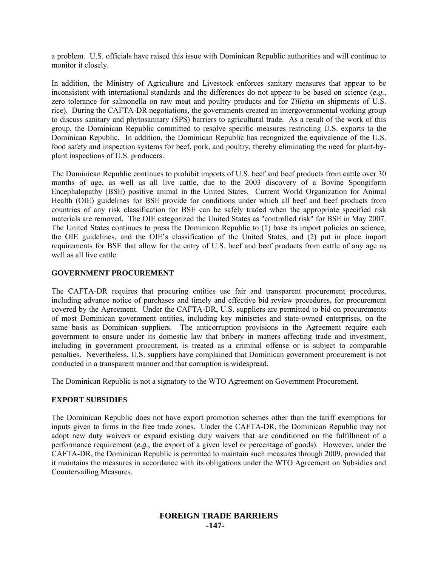a problem. U.S. officials have raised this issue with Dominican Republic authorities and will continue to monitor it closely.

In addition, the Ministry of Agriculture and Livestock enforces sanitary measures that appear to be inconsistent with international standards and the differences do not appear to be based on science (*e.g.*, zero tolerance for salmonella on raw meat and poultry products and for *Tilletia* on shipments of U.S. rice). During the CAFTA-DR negotiations, the governments created an intergovernmental working group to discuss sanitary and phytosanitary (SPS) barriers to agricultural trade. As a result of the work of this group, the Dominican Republic committed to resolve specific measures restricting U.S. exports to the Dominican Republic. In addition, the Dominican Republic has recognized the equivalence of the U.S. food safety and inspection systems for beef, pork, and poultry, thereby eliminating the need for plant-byplant inspections of U.S. producers.

The Dominican Republic continues to prohibit imports of U.S. beef and beef products from cattle over 30 months of age, as well as all live cattle, due to the 2003 discovery of a Bovine Spongiform Encephalopathy (BSE) positive animal in the United States. Current World Organization for Animal Health (OIE) guidelines for BSE provide for conditions under which all beef and beef products from countries of any risk classification for BSE can be safely traded when the appropriate specified risk materials are removed. The OIE categorized the United States as "controlled risk" for BSE in May 2007. The United States continues to press the Dominican Republic to (1) base its import policies on science, the OIE guidelines, and the OIE's classification of the United States, and (2) put in place import requirements for BSE that allow for the entry of U.S. beef and beef products from cattle of any age as well as all live cattle.

## **GOVERNMENT PROCUREMENT**

The CAFTA-DR requires that procuring entities use fair and transparent procurement procedures, including advance notice of purchases and timely and effective bid review procedures, for procurement covered by the Agreement. Under the CAFTA-DR, U.S. suppliers are permitted to bid on procurements of most Dominican government entities, including key ministries and state-owned enterprises, on the same basis as Dominican suppliers. The anticorruption provisions in the Agreement require each government to ensure under its domestic law that bribery in matters affecting trade and investment, including in government procurement, is treated as a criminal offense or is subject to comparable penalties. Nevertheless, U.S. suppliers have complained that Dominican government procurement is not conducted in a transparent manner and that corruption is widespread.

The Dominican Republic is not a signatory to the WTO Agreement on Government Procurement.

## **EXPORT SUBSIDIES**

The Dominican Republic does not have export promotion schemes other than the tariff exemptions for inputs given to firms in the free trade zones. Under the CAFTA-DR, the Dominican Republic may not adopt new duty waivers or expand existing duty waivers that are conditioned on the fulfillment of a performance requirement (*e.g.*, the export of a given level or percentage of goods). However, under the CAFTA-DR, the Dominican Republic is permitted to maintain such measures through 2009, provided that it maintains the measures in accordance with its obligations under the WTO Agreement on Subsidies and Countervailing Measures.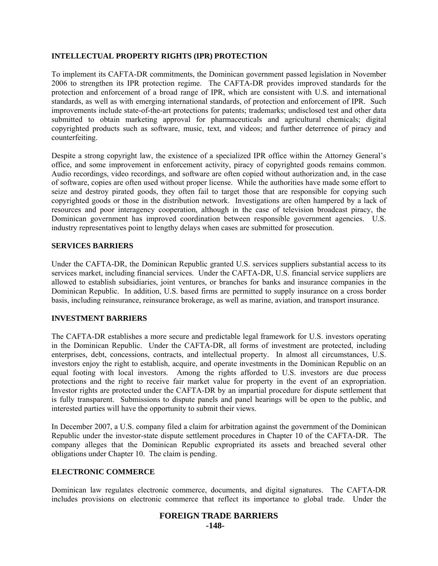## **INTELLECTUAL PROPERTY RIGHTS (IPR) PROTECTION**

To implement its CAFTA-DR commitments, the Dominican government passed legislation in November 2006 to strengthen its IPR protection regime. The CAFTA-DR provides improved standards for the protection and enforcement of a broad range of IPR, which are consistent with U.S. and international standards, as well as with emerging international standards, of protection and enforcement of IPR. Such improvements include state-of-the-art protections for patents; trademarks; undisclosed test and other data submitted to obtain marketing approval for pharmaceuticals and agricultural chemicals; digital copyrighted products such as software, music, text, and videos; and further deterrence of piracy and counterfeiting.

Despite a strong copyright law, the existence of a specialized IPR office within the Attorney General's office, and some improvement in enforcement activity, piracy of copyrighted goods remains common. Audio recordings, video recordings, and software are often copied without authorization and, in the case of software, copies are often used without proper license. While the authorities have made some effort to seize and destroy pirated goods, they often fail to target those that are responsible for copying such copyrighted goods or those in the distribution network. Investigations are often hampered by a lack of resources and poor interagency cooperation, although in the case of television broadcast piracy, the Dominican government has improved coordination between responsible government agencies. U.S. industry representatives point to lengthy delays when cases are submitted for prosecution.

## **SERVICES BARRIERS**

Under the CAFTA-DR, the Dominican Republic granted U.S. services suppliers substantial access to its services market, including financial services. Under the CAFTA-DR, U.S. financial service suppliers are allowed to establish subsidiaries, joint ventures, or branches for banks and insurance companies in the Dominican Republic. In addition, U.S. based firms are permitted to supply insurance on a cross border basis, including reinsurance, reinsurance brokerage, as well as marine, aviation, and transport insurance.

## **INVESTMENT BARRIERS**

The CAFTA-DR establishes a more secure and predictable legal framework for U.S. investors operating in the Dominican Republic. Under the CAFTA-DR, all forms of investment are protected, including enterprises, debt, concessions, contracts, and intellectual property. In almost all circumstances, U.S. investors enjoy the right to establish, acquire, and operate investments in the Dominican Republic on an equal footing with local investors. Among the rights afforded to U.S. investors are due process protections and the right to receive fair market value for property in the event of an expropriation. Investor rights are protected under the CAFTA-DR by an impartial procedure for dispute settlement that is fully transparent. Submissions to dispute panels and panel hearings will be open to the public, and interested parties will have the opportunity to submit their views.

In December 2007, a U.S. company filed a claim for arbitration against the government of the Dominican Republic under the investor-state dispute settlement procedures in Chapter 10 of the CAFTA-DR. The company alleges that the Dominican Republic expropriated its assets and breached several other obligations under Chapter 10. The claim is pending.

## **ELECTRONIC COMMERCE**

Dominican law regulates electronic commerce, documents, and digital signatures. The CAFTA-DR includes provisions on electronic commerce that reflect its importance to global trade. Under the

# **FOREIGN TRADE BARRIERS -148-**